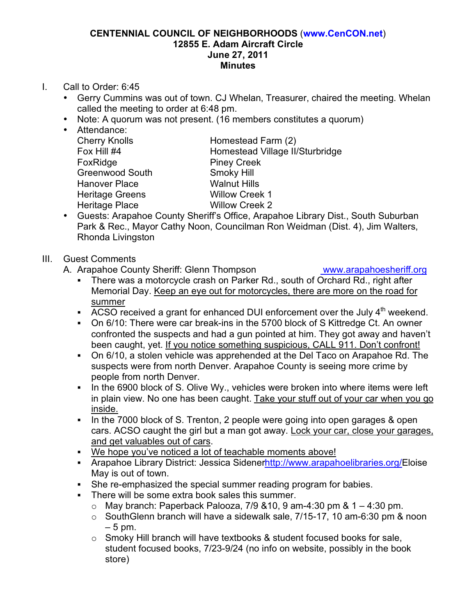#### **CENTENNIAL COUNCIL OF NEIGHBORHOODS** (**www.CenCON.net**) **12855 E. Adam Aircraft Circle June 27, 2011 Minutes**

- I. Call to Order: 6:45
	- Gerry Cummins was out of town. CJ Whelan, Treasurer, chaired the meeting. Whelan called the meeting to order at 6:48 pm.
	- Note: A quorum was not present. (16 members constitutes a quorum)
	- Attendance: FoxRidge Piney Creek Greenwood South Smoky Hill Hanover Place Walnut Hills Heritage Greens Willow Creek 1 Heritage Place Willow Creek 2

Cherry Knolls Homestead Farm (2) Fox Hill #4 **Homestead Village II/Sturbridge** 

• Guests: Arapahoe County Sheriff's Office, Arapahoe Library Dist., South Suburban Park & Rec., Mayor Cathy Noon, Councilman Ron Weidman (Dist. 4), Jim Walters, Rhonda Livingston

#### III. Guest Comments

A. Arapahoe County Sheriff: Glenn Thompson www.arapahoesheriff.org

! There was a motorcycle crash on Parker Rd., south of Orchard Rd., right after Memorial Day. Keep an eye out for motorcycles, there are more on the road for summer

- **ACSO received a grant for enhanced DUI enforcement over the July**  $4<sup>th</sup>$  **weekend.**
- ! On 6/10: There were car break-ins in the 5700 block of S Kittredge Ct. An owner confronted the suspects and had a gun pointed at him. They got away and haven't been caught, yet. If you notice something suspicious, CALL 911. Don't confront!
- ! On 6/10, a stolen vehicle was apprehended at the Del Taco on Arapahoe Rd. The suspects were from north Denver. Arapahoe County is seeing more crime by people from north Denver.
- . In the 6900 block of S. Olive Wy., vehicles were broken into where items were left in plain view. No one has been caught. Take your stuff out of your car when you go inside.
- ! In the 7000 block of S. Trenton, 2 people were going into open garages & open cars. ACSO caught the girl but a man got away. Lock your car, close your garages, and get valuables out of cars.
- ! We hope you've noticed a lot of teachable moments above!
- ! Arapahoe Library District: Jessica Sidenerhttp://www.arapahoelibraries.org/Eloise May is out of town.
- She re-emphasized the special summer reading program for babies.
- ! There will be some extra book sales this summer.
	- $\circ$  May branch: Paperback Palooza, 7/9 & 10, 9 am-4:30 pm & 1 4:30 pm.
	- o SouthGlenn branch will have a sidewalk sale, 7/15-17, 10 am-6:30 pm & noon  $-5$  pm.
	- $\circ$  Smoky Hill branch will have textbooks & student focused books for sale, student focused books, 7/23-9/24 (no info on website, possibly in the book store)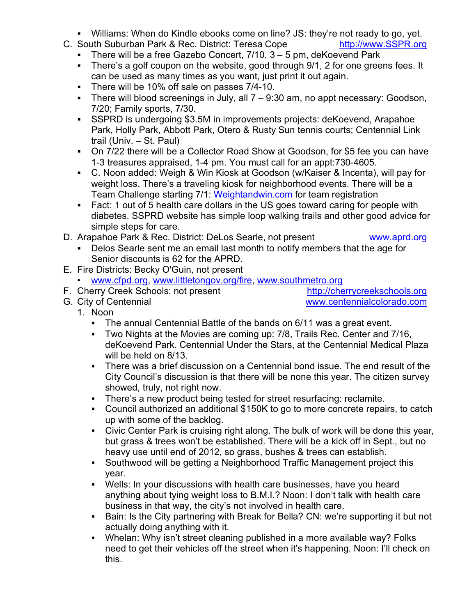- ! Williams: When do Kindle ebooks come on line? JS: they're not ready to go, yet.
- C. South Suburban Park & Rec. District: Teresa Cope http://www.SSPR.org
	- **.** There will be a free Gazebo Concert,  $7/10$ ,  $3 5$  pm, deKoevend Park
	- ! There's a golf coupon on the website, good through 9/1, 2 for one greens fees. It can be used as many times as you want, just print it out again.
	- **There will be 10% off sale on passes 7/4-10.**
	- ! There will blood screenings in July, all 7 9:30 am, no appt necessary: Goodson, 7/20; Family sports, 7/30.
	- ! SSPRD is undergoing \$3.5M in improvements projects: deKoevend, Arapahoe Park, Holly Park, Abbott Park, Otero & Rusty Sun tennis courts; Centennial Link trail (Univ. – St. Paul)
	- ! On 7/22 there will be a Collector Road Show at Goodson, for \$5 fee you can have 1-3 treasures appraised, 1-4 pm. You must call for an appt:730-4605.
	- ! C. Noon added: Weigh & Win Kiosk at Goodson (w/Kaiser & Incenta), will pay for weight loss. There's a traveling kiosk for neighborhood events. There will be a Team Challenge starting 7/1: Weightandwin.com for team registration
	- ! Fact: 1 out of 5 health care dollars in the US goes toward caring for people with diabetes. SSPRD website has simple loop walking trails and other good advice for simple steps for care.
- D. Arapahoe Park & Rec. District: DeLos Searle, not present www.aprd.org

- ! Delos Searle sent me an email last month to notify members that the age for Senior discounts is 62 for the APRD.
- E. Fire Districts: Becky O'Guin, not present
- www.cfpd.org, www.littletongov.org/fire, www.southmetro.org
- F. Cherry Creek Schools: not present http://cherrycreekschools.org
- 

G. City of Centennial www.centennialcolorado.com

- 1. Noon
	- The annual Centennial Battle of the bands on 6/11 was a great event.
	- ! Two Nights at the Movies are coming up: 7/8, Trails Rec. Center and 7/16, deKoevend Park. Centennial Under the Stars, at the Centennial Medical Plaza will be held on 8/13.
	- ! There was a brief discussion on a Centennial bond issue. The end result of the City Council's discussion is that there will be none this year. The citizen survey showed, truly, not right now.
	- ! There's a new product being tested for street resurfacing: reclamite.
	- ! Council authorized an additional \$150K to go to more concrete repairs, to catch up with some of the backlog.
	- ! Civic Center Park is cruising right along. The bulk of work will be done this year, but grass & trees won't be established. There will be a kick off in Sept., but no heavy use until end of 2012, so grass, bushes & trees can establish.
	- ! Southwood will be getting a Neighborhood Traffic Management project this year.
	- Wells: In your discussions with health care businesses, have you heard anything about tying weight loss to B.M.I.? Noon: I don't talk with health care business in that way, the city's not involved in health care.
	- ! Bain: Is the City partnering with Break for Bella? CN: we're supporting it but not actually doing anything with it.
	- ! Whelan: Why isn't street cleaning published in a more available way? Folks need to get their vehicles off the street when it's happening. Noon: I'll check on this.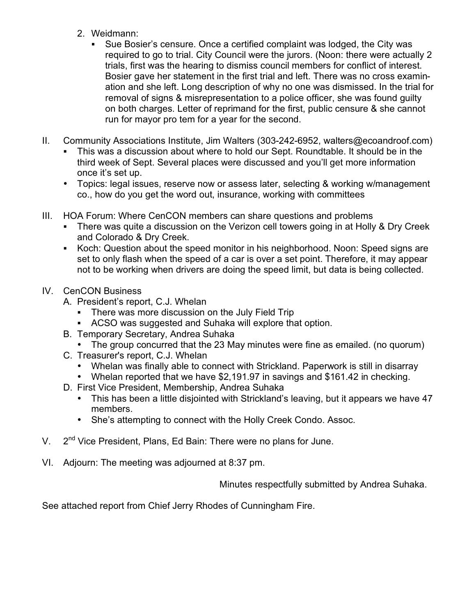- 2. Weidmann:
	- ! Sue Bosier's censure. Once a certified complaint was lodged, the City was required to go to trial. City Council were the jurors. (Noon: there were actually 2 trials, first was the hearing to dismiss council members for conflict of interest. Bosier gave her statement in the first trial and left. There was no cross examination and she left. Long description of why no one was dismissed. In the trial for removal of signs & misrepresentation to a police officer, she was found guilty on both charges. Letter of reprimand for the first, public censure & she cannot run for mayor pro tem for a year for the second.
- II. Community Associations Institute, Jim Walters (303-242-6952, walters@ecoandroof.com)
	- ! This was a discussion about where to hold our Sept. Roundtable. It should be in the third week of Sept. Several places were discussed and you'll get more information once it's set up.
	- Topics: legal issues, reserve now or assess later, selecting & working w/management co., how do you get the word out, insurance, working with committees
- III. HOA Forum: Where CenCON members can share questions and problems
	- ! There was quite a discussion on the Verizon cell towers going in at Holly & Dry Creek and Colorado & Dry Creek.
	- ! Koch: Question about the speed monitor in his neighborhood. Noon: Speed signs are set to only flash when the speed of a car is over a set point. Therefore, it may appear not to be working when drivers are doing the speed limit, but data is being collected.
- IV. CenCON Business
	- A. President's report, C.J. Whelan
		- **There was more discussion on the July Field Trip**
		- ! ACSO was suggested and Suhaka will explore that option.
	- B. Temporary Secretary, Andrea Suhaka
	- The group concurred that the 23 May minutes were fine as emailed. (no quorum)
	- C. Treasurer's report, C.J. Whelan
		- Whelan was finally able to connect with Strickland. Paperwork is still in disarray
		- Whelan reported that we have \$2,191.97 in savings and \$161.42 in checking.
	- D. First Vice President, Membership, Andrea Suhaka
		- This has been a little disjointed with Strickland's leaving, but it appears we have 47 members.
		- She's attempting to connect with the Holly Creek Condo. Assoc.
- V.  $2^{nd}$  Vice President. Plans, Ed Bain: There were no plans for June.
- VI. Adjourn: The meeting was adjourned at 8:37 pm.

Minutes respectfully submitted by Andrea Suhaka.

See attached report from Chief Jerry Rhodes of Cunningham Fire.